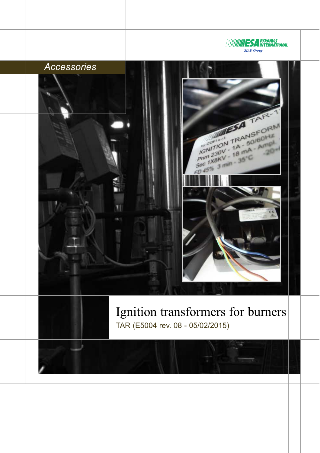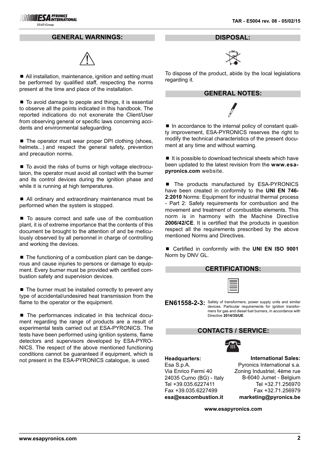#### **GENERAL WARNINGS:**



■ All installation, maintenance, ignition and setting must be performed by qualified staff, respecting the norms present at the time and place of the installation.

■ To avoid damage to people and things, it is essential to observe all the points indicated in this handbook. The reported indications do not exonerate the Client/User from observing general or specific laws concerning accidents and environmental safeguarding.

■ The operator must wear proper DPI clothing (shoes, helmets...) and respect the general safety, prevention and precaution norms.

■ To avoid the risks of burns or high voltage electrocutaion, the operator must avoid all contact with the burner and its control devices during the ignition phase and while it is running at high temperatures.

■ All ordinary and extraordinary maintenance must be performed when the system is stopped.

■ To assure correct and safe use of the combustion plant, it is of extreme importance that the contents of this document be brought to the attention of and be meticulously observed by all personnel in charge of controlling and working the devices.

■ The functioning of a combustion plant can be dangerous and cause injuries to persons or damage to equipment. Every burner must be provided with certified combustion safety and supervision devices.

 $\blacksquare$  The burner must be installed correctly to prevent any type of accidental/undesired heat transmission from the flame to the operator or the equipment.

■ The performances indicated in this technical document regarding the range of products are a result of experimental tests carried out at ESA-PYRONICS. The tests have been performed using ignition systems, flame detectors and supervisors developed by ESA-PYRO-NICS. The respect of the above mentioned functioning conditions cannot be guaranteed if equipment, which is not present in the ESA-PYRONICS catalogue, is used.

**DISPOSAL:**



To dispose of the product, abide by the local legislations regarding it.

#### **GENERAL NOTES:**

■ In accordance to the internal policy of constant quality improvement, ESA-PYRONICS reserves the right to modify the technical characteristics of the present document at any time and without warning.

 $\blacksquare$  It is possible to download technical sheets which have been updated to the latest revision from the **www.esapyronics.com** website.

The products manufactured by ESA-PYRONICS have been created in conformity to the **UNI EN 746- 2:2010** Norms: Equipment for industrial thermal process - Part 2: Safety requirements for combustion and the movement and treatment of combustible elements. This norm is in harmony with the Machine Directive **2006/42/CE**. It is certified that the products in question respect all the requirements prescribed by the above mentioned Norms and Directives.

■ Certified in conformity with the **UNI EN ISO 9001** Norm by DNV GL.

| <b>CERTIFICATIONS:</b> |  |  |
|------------------------|--|--|
|------------------------|--|--|

**EN61558-2-3:** Safety of transformers, power supply units and similar<br>contract for inviting transformation of the setting transformation of the setting transformation of the setting of the setting of the setting of the set devices. Particular requirements for ignition transformers for gas and diesel fuel burners, in accordance with Directive **2014/35/UE**.

#### **CONTACTS / SERVICE:**



**Headquarters:** Esa S.p.A.

Via Enrico Fermi 40 24035 Curno (BG) - Italy Tel +39.035.6227411 Fax +39.035.6227499 **esa@esacombustion.it**

**International Sales:** Pyronics International s.a. Zoning Industriel, 4ème rue B-6040 Jumet - Belgium Tel +32.71.256970 Fax +32.71.256979 **marketing@pyronics.be**

**www.esapyronics.com**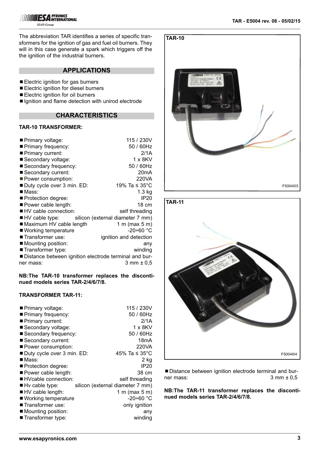The abbreviation TAR identifies a series of specific transformers for the ignition of gas and fuel oil burners. They will in this case generate a spark which triggers off the the ignition of the industrial burners.

## **APPLICATIONS**

- **Electric ignition for gas burners**
- Electric ignition for diesel burners
- Electric ignition for oil burners
- Ignition and flame detection with unirod electrode

# **CHARACTERISTICS**

# **TAR-10 TRANSFORMER:**

| Primary voltage:                                        | 115 / 230V             |
|---------------------------------------------------------|------------------------|
| Primary frequency:                                      | 50 / 60Hz              |
| Primary current:                                        | 2/1A                   |
| ■ Secondary voltage:                                    | 1 x 8KV                |
| Secondary frequency:                                    | 50 / 60Hz              |
| ■ Secondary current:                                    | 20 <sub>m</sub> A      |
| Power consumption:                                      | 220VA                  |
| Duty cycle over 3 min. ED:                              | 19% Ta $\leq$ 35°C     |
| $\blacksquare$ Mass:                                    | 1.3 kg                 |
| ■ Protection degree:                                    | IP <sub>20</sub>       |
| Power cable length:                                     | 18 cm                  |
| ■ HV cable connection:                                  | self threading         |
| ■ HV cable type: silicon (external diameter 7 mm)       |                        |
| ■ Maximum HV cable length                               | 1 m (max $5$ m)        |
| ■ Working temperature                                   | $-20+60$ °C            |
| ■ Transformer use:                                      | ignition and detection |
| $\blacksquare$ Mounting position:                       | any                    |
| ■ Transformer type:                                     | winding                |
| ■ Distance between ignition electrode terminal and bur- |                        |
| ner mass:                                               | 3 mm ± 0.5             |

### **NB:The TAR-10 transformer replaces the discontinued models series TAR-2/4/6/7/8.**

## **TRANSFORMER TAR-11:**

| ■ Primary voltage:                | 115 / 230V                       |
|-----------------------------------|----------------------------------|
| ■ Primary frequency:              | 50 / 60Hz                        |
| Primary current:                  | 2/1A                             |
| Secondary voltage:                | $1 \times 8$ KV                  |
| Secondary frequency:              | 50 / 60Hz                        |
| Secondary current:                | 18mA                             |
| Power consumption:                | 220VA                            |
| ■ Duty cycle over 3 min. ED:      | 45% Ta $\leq 35^{\circ}$ C       |
| $\blacksquare$ Mass:              | 2 kg                             |
| ■ Protection degree:              | IP20                             |
| Power cable length:               | 38 cm                            |
| ■ HVcable connection:             | self threading                   |
| $\blacksquare$ Hv cable type:     | silicon (external diameter 7 mm) |
| $\blacksquare$ HV cable length:   | 1 m (max $5$ m)                  |
| ■ Working temperature             | -20÷60 °C                        |
| ■ Transformer use:                | only ignition                    |
| $\blacksquare$ Mounting position: | any                              |
| ■ Transformer type:               | winding                          |





¾Distance between ignition electrode terminal and burner mass:  $3 \text{ mm } \pm 0.5$ 

**NB:The TAR-11 transformer replaces the discontinued models series TAR-2/4/6/7/8.**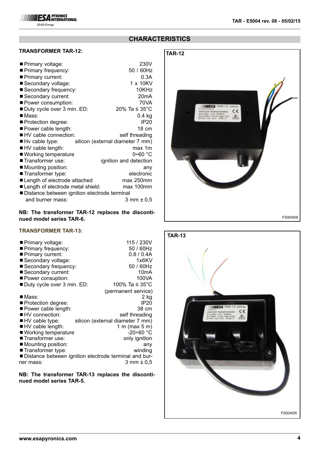**SIAD Group** 

# **CHARACTERISTICS**

## **TRANSFORMER TAR-12:**

| ■ Primary voltage:                           | 230V                             |
|----------------------------------------------|----------------------------------|
| Primary frequency:                           | 50 / 60Hz                        |
| Primary current:                             | 0.3A                             |
| ■ Secondary voltage:                         | 1 x 10KV                         |
| Secondary frequency:                         | 10KHz                            |
| Secondary current:                           | 20mA                             |
| Power consumption:                           | 70VA                             |
| Duty cycle over 3 min. ED:                   | 20% Ta $\leq$ 35°C               |
| ■Mass:                                       | $0.4$ kg                         |
| Protection degree:                           | <b>IP20</b>                      |
| Power cable length:                          | 18 cm                            |
| ■ HV cable connection:                       | self threading                   |
| $\blacksquare$ Hv cable type:                | silicon (external diameter 7 mm) |
| HV cable length:                             | max 1m                           |
| ■ Working temperature                        | $0+60$ °C                        |
| ■ Transformer use:                           | ignition and detection           |
| Mounting position:                           | any                              |
| ■ Transformer type:                          | electronic                       |
| ■ Length of electrode attached               | max 250mm                        |
| Length of electrode metal shield:            | max 100mm                        |
| Distance between ignition electrode terminal |                                  |
| and burner mass:                             | 3 mm ± 0.5                       |

#### **NB: The transformer TAR-12 replaces the discontinued model series TAR-6.**

#### **TRANSFORMER TAR-13:**

| ■ Primary voltage:<br>Primary frequency:<br>Primary current:<br>Secondary voltage:<br>Secondary frequency: | 115 / 230V<br>50 / 60Hz<br>$0.8 / 0.4$ A<br>1x6KV<br>50 / 60Hz |
|------------------------------------------------------------------------------------------------------------|----------------------------------------------------------------|
| Secondary current:                                                                                         | 10 <sub>m</sub> A                                              |
| ■ Power consuption:                                                                                        | 100VA                                                          |
| ■ Duty cycle over 3 min. ED:                                                                               | 100% Ta ≤ 35°C                                                 |
|                                                                                                            | (permanent service)                                            |
| ■ Mass:                                                                                                    | 2 kg                                                           |
| ■ Protection degree:                                                                                       | <b>IP20</b>                                                    |
| Power cable length:                                                                                        | 38 cm                                                          |
| ■ HV connection:                                                                                           | self threading                                                 |
| HV cable type:                                                                                             | silicon (external diameter 7 mm)                               |
| HV cable length:                                                                                           | 1 m (max $5$ m)                                                |
| ■ Working temperature                                                                                      | $-20+60$ °C                                                    |
| ■ Transformer use:                                                                                         | only ignition                                                  |
| $\blacksquare$ Mounting position:                                                                          | any                                                            |
| ■ Transformer type:                                                                                        | winding                                                        |
| ■ Distance between ignition electrode terminal and bur-                                                    |                                                                |
| ner mass:                                                                                                  | 3 mm ± 0.5                                                     |

**NB: The transformer TAR-13 replaces the discontinued model series TAR-5.**



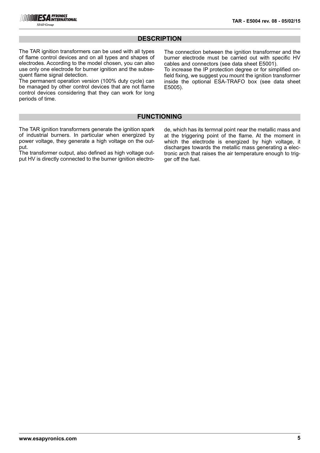## **DESCRIPTION**

The TAR ignition transformers can be used with all types of flame control devices and on all types and shapes of electrodes. According to the model chosen, you can also use only one electrode for burner ignition and the subsequent flame signal detection.

The permanent operation version (100% duty cycle) can be managed by other control devices that are not flame control devices considering that they can work for long periods of time.

The connection between the ignition transformer and the burner electrode must be carried out with specific HV cables and connectors (see data sheet E5001).

To increase the IP protection degree or for simplified onfield fixing, we suggest you mount the ignition transformer inside the optional ESA-TRAFO box (see data sheet E5005).

#### **FUNCTIONING**

The TAR ignition transformers generate the ignition spark of industrial burners. In particular when energized by power voltage, they generate a high voltage on the output.

The transformer output, also defined as high voltage output HV is directly connected to the burner ignition electrode, which has its termnal point near the metallic mass and at the triggering point of the flame. At the moment in which the electrode is energized by high voltage, it discharges towards the metallic mass generating a electronic arch that raises the air temperature enough to trigger off the fuel.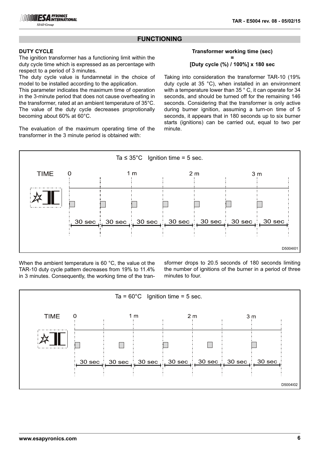## **FUNCTIONING**

#### **DUTY CYCLE**

The ignition transformer has a functioning limit within the duty cycle time which is expressed as as percentage with respect to a period of 3 minutes.

The duty cycle value is fundamnetal in the choice of model to be installed according to the application.

This parameter indicates the maximum time of operation in the 3-minute period that does not cause overheating in the transformer, rated at an ambient temperature of 35°C. The value of the duty cycle decreases proprotionally becoming about 60% at 60°C.

The evaluation of the maximum operating time of the transformer in the 3 minute period is obtained with:

#### **Transformer working time (sec) = [Duty cycle (%) / 100%] x 180 sec**

Taking into consideration the transformer TAR-10 (19% duty cycle at 35 °C), when installed in an environment with a temperature lower than 35 ° C, it can operate for 34 seconds, and should be turned off for the remaining 146 seconds. Considering that the transformer is only active during burner ignition, assuming a turn-on time of 5 seconds, it appears that in 180 seconds up to six burner starts (ignitions) can be carried out, equal to two per minute.



When the ambient temperature is 60 °C, the value ot the TAR-10 duty cycle pattern decreases from 19% to 11.4% in 3 minutes. Consequently, the working time of the transformer drops to 20.5 seconds of 180 seconds limiting the number of ignitions of the burner in a period of three minutes to four.

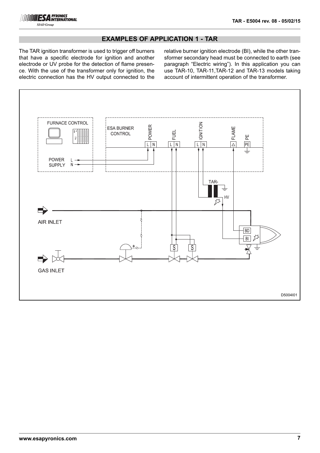

## **EXAMPLES OF APPLICATION 1 - TAR**

The TAR ignition transformer is used to trigger off burners that have a specific electrode for ignition and another electrode or UV probe for the detection of flame presence. With the use of the transformer only for ignition, the electric connection has the HV output connected to the

relative burner ignition electrode (BI), while the other transformer secondary head must be connected to earth (see paragraph "Electric wiring"). In this application you can use TAR-10, TAR-11,TAR-12 and TAR-13 models taking account of intermittent operation of the transformer.

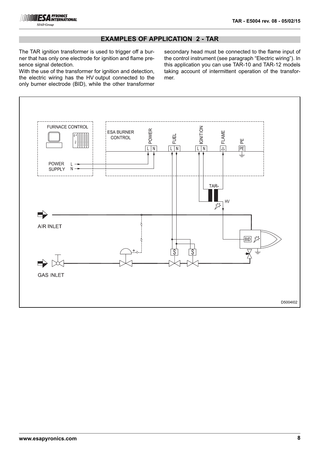

## **EXAMPLES OF APPLICATION 2 - TAR**

The TAR ignition transformer is used to trigger off a burner that has only one electrode for ignition and flame presence signal detection.

With the use of the transformer for ignition and detection, the electric wiring has the HV output connected to the only burner electrode (BID), while the other transformer secondary head must be connected to the flame input of the control instrument (see paragraph "Electric wiring"). In this application you can use TAR-10 and TAR-12 models taking account of intermittent operation of the transformer.

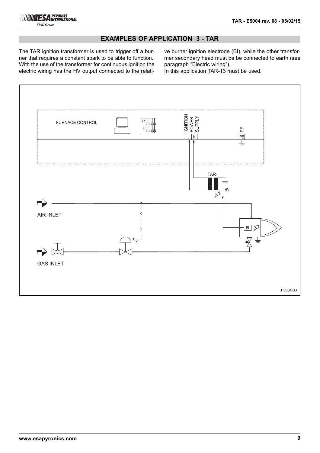

# **EXAMPLES OF APPLICATION 3 - TAR**

The TAR ignition transformer is used to trigger off a burner that requires a constant spark to be able to function. With the use of the transformer for continuous ignition the electric wiring has the HV output connected to the relative burner ignition electrode (BI), while the other transformer secondary head must be be connected to earth (see paragraph "Electric wiring").

In this application TAR-13 must be used.

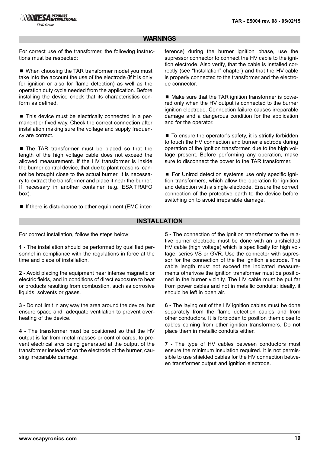## **WARNINGS**

For correct use of the transformer, the following instructions must be respected:

■ When choosing the TAR transformer model you must take into the account the use of the electrode (if it is only for ignition or also for flame detection) as well as the operation duty cycle needed from the application. Before installing the device check that its characteristics conform as defined.

■ This device must be electrically connected in a permanent or fixed way. Check the correct connection after installation making sure the voltage and supply frequency are correct.

■ The TAR transformer must be placed so that the length of the high voltage cable does not exceed the allowed measurement. If the HV transformer is inside the burner control device, that due to plant reasons, cannot be brought close to the actual burner, it is necessary to extract the transformer and place it near the burner. If necessary in another container (e.g. ESA TRAFO box).

■ If there is disturbance to other equipment (EMC inter-

ference) during the burner ignition phase, use the supressor connector to connect the HV cable to the ignition electrode. Also verify, that the cable is installed correctly (see "Installation" chapter) and that the HV cable is properly connected to the transformer and the electrode connector.

■ Make sure that the TAR ignition transformer is powered only when the HV output is connected to the burner ignition electrode. Connection failure causes irreparable damage and a dangerous condition for the application and for the operator.

■ To ensure the operator's safety, it is strictly forbidden to touch the HV connection and burner electrode during operation of the ignition transformer, due to the high voltage present. Before performing any operation, make sure to disconnect the power to the TAR transformer.

■ For Unirod detection systems use only specific ignition transformers, which allow the operation for ignition and detection with a single electrode. Ensure the correct connection of the protective earth to the device before switching on to avoid irreparable damage.

### **INSTALLATION**

For correct installation, follow the steps below:

**1 -** The installation should be performed by qualified personnel in compliance with the regulations in force at the time and place of installation.

**2 -** Avoid placing the equipment near intense magnetic or electric fields, and in conditions of direct exposure to heat or products resulting from combustion, such as corrosive liquids, solvents or gases.

**3 -** Do not limit in any way the area around the device, but ensure space and adequate ventilation to prevent overheating of the device.

**4 -** The transformer must be positioned so that the HV output is far from metal masses or control cards, to prevent electrical arcs being generated at the output of the transformer instead of on the electrode of the burner, causing irreparable damage.

**5 -** The connection of the ignition transformer to the relative burner electrode must be done with an unshielded HV cable (high voltage) which is specifically for high voltage, series VS or GVR. Use the connector with supressor for the connection of the the ignition electrode. The cable length must not exceed the indicated measurements otheriwse the ignition transformer must be positioned in the burner vicinity. The HV cable must be put far from power cables and not in metallic conduits: ideally, it should be left in open air.

**6 -** The laying out of the HV ignition cables must be done separately from the flame detection cables and from other conductors. It is forbidden to position them close to cables coming from other ignition transformers. Do not place them in metallic conduits either.

**7 -** The type of HV cables between conductors must ensure the minimum insulation required. It is not permissible to use shielded cables for the HV connection between transformer output and ignition electrode.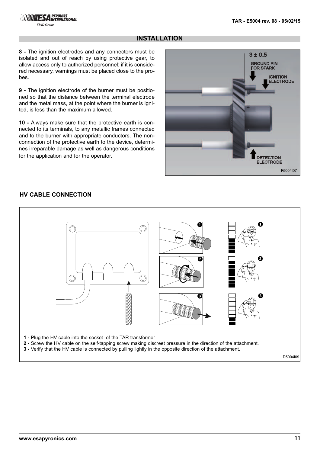# **INSTALLATION**

**8 -** The ignition electrodes and any connectors must be isolated and out of reach by using protective gear, to allow access only to authorized personnel; if it is considered necessary, warnings must be placed close to the probes.

**9 -** The ignition electrode of the burner must be positioned so that the distance between the terminal electrode and the metal mass, at the point where the burner is ignited, is less than the maximum allowed.

**10 -** Always make sure that the protective earth is connected to its terminals, to any metallic frames connected and to the burner with appropriate conductors. The nonconnection of the protective earth to the device, determines irreparable damage as well as dangerous conditions for the application and for the operator.



# **HV CABLE CONNECTION**

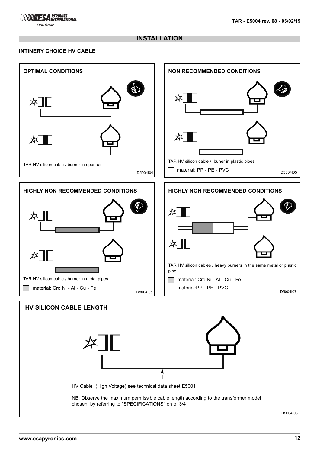## **INSTALLATION**

### **INTINERY CHOICE HV CABLE**

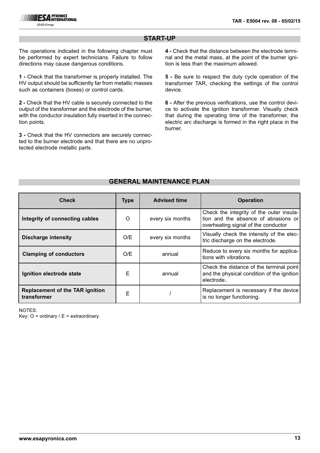## **START-UP**

The operations indicated in the following chapter must be performed by expert technicians. Failure to follow directions may cause dangerous conditions.

**1 -** Check that the transformer is properly installed. The HV output should be sufficiently far from metallic masses such as containers (boxes) or control cards.

**2 -** Check that the HV cable is securely connected to the output of the transformer and the electrode of the burner, with the conductor insulation fully inserted in the connection points.

**3 -** Check that the HV connectors are securely connected to the burner electrode and that there are no unprotected electrode metallic parts.

**4 -** Check that the distance between the electrode terminal and the metal mass, at the point of the burner ignition is less than the maximum allowed.

**5 -** Be sure to respect the duty cycle operation of the transformer TAR, checking the settings of the control device.

**6 -** After the previous verifications, use the control device to activate the ignition transformer. Visually check that during the operating time of the transformer, the electric arc discharge is formed in the right place in the burner.

# **GENERAL MAINTENANCE PLAN**

| <b>Check</b>                                          | <b>Type</b> | <b>Advised time</b> | <b>Operation</b>                                                                                                        |
|-------------------------------------------------------|-------------|---------------------|-------------------------------------------------------------------------------------------------------------------------|
| Integrity of connecting cables                        | $\Omega$    | every six months    | Check the integrity of the outer insula-<br>tion and the absence of abrasions or<br>overheating signal of the conductor |
| <b>Discharge intensity</b>                            | O/E         | every six months    | Visually check the intensity of the elec-<br>tric discharge on the electrode.                                           |
| <b>Clamping of conductors</b>                         | O/E         | annual              | Reduce to every six months for applica-<br>tions with vibrations.                                                       |
| Ignition electrode state                              | Е           | annual              | Check the distance of the terminal point<br>and the physical condition of the ignition<br>electrode                     |
| <b>Replacement of the TAR ignition</b><br>transformer | Е           |                     | Replacement is necessary if the device<br>is no longer functioning.                                                     |

NOTES: Key:  $O =$  ordinary /  $E =$  extraordinary.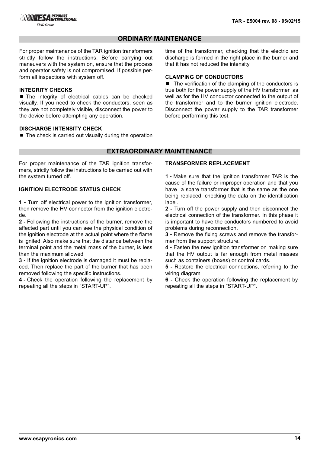## **ORDINARY MAINTENANCE**

For proper maintenance of the TAR ignition transformers strictly follow the instructions. Before carrying out maneuvers with the system on, ensure that the process and operator safety is not compromised. If possible perform all inspections with system off.

#### **INTEGRITY CHECKS**

■ The integrity of electrical cables can be checked visually. If you need to check the conductors, seen as they are not completely visible, disconnect the power to the device before attempting any operation.

#### **DISCHARGE INTENSITY CHECK**

 $\blacksquare$  The check is carried out visually during the operation

### **EXTRAORDINARY MAINTENANCE**

For proper maintenance of the TAR ignition transformers, strictly follow the instructions to be carried out with the system turned off.

#### **IGNITION ELECTRODE STATUS CHECK**

**1 -** Turn off electrical power to the ignition transformer, then remove the HV connector from the ignition electrode.

**2 -** Following the instructions of the burner, remove the affected part until you can see the physical condition of the ignition electrode at the actual point where the flame is ignited. Also make sure that the distance between the terminal point and the metal mass of the burner, is less than the maximum allowed

**3 -** If the ignition electrode is damaged it must be replaced. Then replace the part of the burner that has been removed following the specific instructions.

**4 -** Check the operation following the replacement by repeating all the steps in "START-UP".

time of the transformer, checking that the electric arc discharge is formed in the right place in the burner and that it has not reduced the intensity

#### **CLAMPING OF CONDUCTORS**

■ The verification of the clamping of the conductors is true both for the power supply of the HV transformer as well as for the HV conductor connected to the output of the transformer and to the burner ignition electrode. Disconnect the power supply to the TAR transformer before performing this test.

#### **TRANSFORMER REPLACEMENT**

**1 -** Make sure that the ignition transformer TAR is the cause of the failure or improper operation and that you have a spare transformer that is the same as the one being replaced, checking the data on the identification label.

**2 -** Turn off the power supply and then disconnect the electrical connection of the transformer. In this phase it is important to have the conductors numbered to avoid problems during reconnection.

**3 -** Remove the fixing screws and remove the transformer from the support structure.

**4 -** Fasten the new ignition transformer on making sure that the HV output is far enough from metal masses such as containers (boxes) or control cards.

**5 -** Restore the electrical connections, referring to the wiring diagram

**6 -** Check the operation following the replacement by repeating all the steps in "START-UP".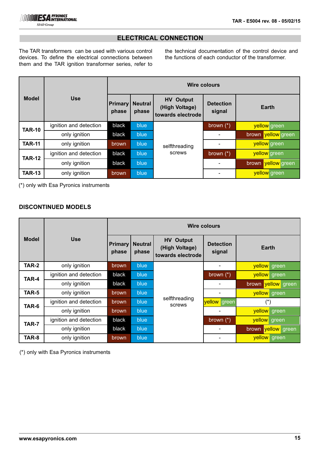# **ELECTRICAL CONNECTION**

The TAR transformers can be used with various control devices. To define the electrical connections between them and the TAR ignition transformer series, refer to

the technical documentation of the control device and the functions of each conductor of the transformer.

|               |                        | <b>Wire colours</b>     |                         |                                                         |                            |                    |
|---------------|------------------------|-------------------------|-------------------------|---------------------------------------------------------|----------------------------|--------------------|
| <b>Model</b>  | <b>Use</b>             | <b>Primary</b><br>phase | <b>Neutral</b><br>phase | <b>HV Output</b><br>(High Voltage)<br>towards electrode | <b>Detection</b><br>signal | Earth              |
| <b>TAR-10</b> | ignition and detection | black                   | blue                    | selfthreading<br>screws                                 | brown $(*)$                | yellow green       |
|               | only ignition          | black                   | blue                    |                                                         |                            | brown vellow green |
| <b>TAR-11</b> | only ignition          | <b>brown</b>            | blue                    |                                                         |                            | yellow green       |
| <b>TAR-12</b> | ignition and detection | black                   | blue                    |                                                         | brown $(*)$                | yellow green       |
|               | only ignition          | black                   | blue                    |                                                         |                            | brown yellow green |
| <b>TAR-13</b> | only ignition          | <b>brown</b>            | blue                    |                                                         |                            | yellow green       |

(\*) only with Esa Pyronics instruments

## **DISCONTINUED MODELS**

|              |                        | <b>Wire colours</b>     |                         |                                                         |                            |                    |  |
|--------------|------------------------|-------------------------|-------------------------|---------------------------------------------------------|----------------------------|--------------------|--|
| <b>Model</b> | <b>Use</b>             | <b>Primary</b><br>phase | <b>Neutral</b><br>phase | <b>HV</b> Output<br>(High Voltage)<br>towards electrode | <b>Detection</b><br>signal | <b>Earth</b>       |  |
| TAR-2        | only ignition          | brown                   | blue                    |                                                         |                            | yellow green       |  |
| TAR-4        | ignition and detection | black                   | blue                    |                                                         | brown $(*)$                | yellow green       |  |
|              | only ignition          | black                   | blue                    |                                                         |                            | brown vellow green |  |
| TAR-5        | only ignition          | brown                   | blue                    |                                                         |                            | yellow green       |  |
| TAR-6        | ignition and detection | brown                   | blue                    | selfthreading<br>screws                                 | vellow green               | $(\hbox{}^\star)$  |  |
|              | only ignition          | brown                   | blue                    |                                                         |                            | yellow green       |  |
| TAR-7        | ignition and detection | black                   | blue                    |                                                         | brown $(*)$                | yellow green       |  |
|              | only ignition          | black                   | blue                    |                                                         |                            | brown vellow green |  |
| TAR-8        | only ignition          | brown                   | blue                    |                                                         |                            | yellow green       |  |

(\*) only with Esa Pyronics instruments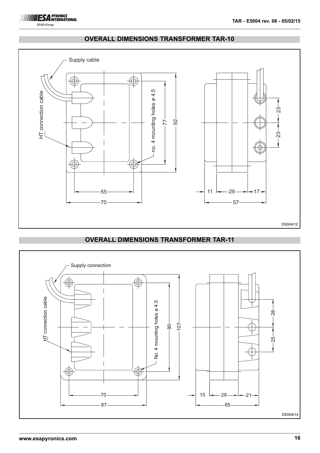

# **OVERALL DIMENSIONS TRANSFORMER TAR-10**



# **OVERALL DIMENSIONS TRANSFORMER TAR-11**

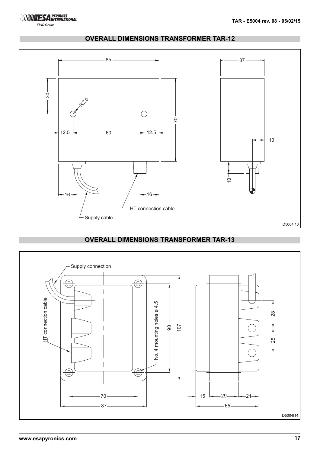



# **OVERALL DIMENSIONS TRANSFORMER TAR-12**

# **OVERALL DIMENSIONS TRANSFORMER TAR-13**

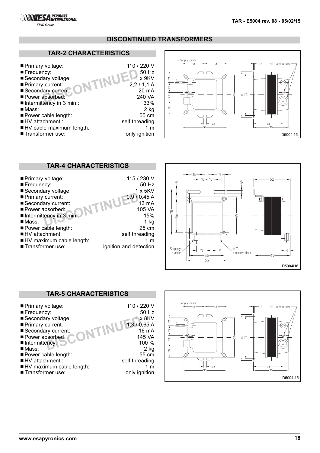

# **TAR-2 CHARACTERISTICS**

**ESA PYRONICS**  $\frac{1}{S I A D}$ 

|                           |                | Supply cable      |
|---------------------------|----------------|-------------------|
| ■ Primary voltage:        | 110 / 220 V    |                   |
| Frequency:                | 50 Hz          |                   |
| Secondary voltage:        | x 9KV          | O<br>Ŕ            |
| Primary current:          | 2,2/1,1A       |                   |
| Secondary current:        | 20 mA          |                   |
| Power absorbed:           | 240 VA         | $\mathsf{m}$<br>Ñ |
| Intermittency in 3 min.:  | 33%            |                   |
| ■ Mass:                   | $2$ kg         | 유<br>O            |
| Power cable length:       | 55 cm          |                   |
| ■ HV attachment.:         | self threading |                   |
| HV cable maximum length.: | 1 m            |                   |
| ■ Transformer use:        | only ignition  |                   |



# **TAR-4 CHARACTERISTICS**

| ■ Primary voltage:       | 115 / 230 V            |
|--------------------------|------------------------|
| Frequency:               | 50 Hz                  |
| ■ Secondary voltage:     | $1 \times 5$ KV        |
| Primary current:         | 0,9/0,45A              |
| Secondary current:       | 13 mA                  |
| Power absorbed:          | 105 VA                 |
| Intermittency in 3 min.: | 15%                    |
| $\n  Mass$               | $1$ kg                 |
| Power cable length:      | 25 cm                  |
| ■ HV attachment:         | self threading         |
| HV maximum cable length: | 1 m                    |
| ■ Transformer use:       | ignition and detection |



# **TAR-5 CHARACTERISTICS**



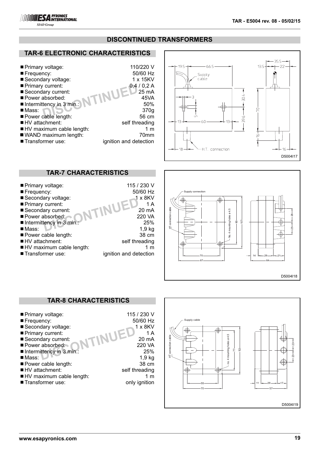

## **DISCONTINUED TRANSFORMERS**

# **TAR-6 ELECTRONIC CHARACTERISTICS**

| ■ Primary voltage:                      | 110/220 V              |
|-----------------------------------------|------------------------|
| Frequency:                              | 50/60 Hz               |
| ■ Secondary voltage:                    | 1 x 15KV               |
| Primary current:                        | 0,4/0,2A               |
| Secondary current:                      | 25 mA                  |
| Power absorbed:                         | 45VA                   |
| $\blacksquare$ Intermittency in 3 min.: | 50%                    |
| $\n  Mass$                              | 370g                   |
| Power cable length:                     | 56 cm                  |
| $\blacksquare$ HV attachment:           | self threading         |
| HV maximum cable length:                | 1 $m$                  |
| ■ WAND maximum length:                  | 70 <sub>mm</sub>       |
| ■ Transformer use:                      | ignition and detection |



#### **DISCONTINUED**<br>
20 mA<br>
20 mA<br>
220 VA<br>
25%<br>
1,9 kg<br>
38 cm ■ Primary voltage: 115 / 230 V<br>■ Frequency: 50/60 Hz ■ Frequency: ■ Secondary voltage: 1 x 8KV<br>■ Primary current: 1 A  $\blacksquare$  Primary current:  $\blacksquare$  Secondary current: ■ Power absorbed: 220 VA<br>■ Intermittency in 3 min.: 25%  $\blacksquare$  Intermittency in 3 min.  $\n **Mass**$ ■ Power cable length: ■HV attachment: self threading ■ HV maximum cable length: 1 m<br>■ Transformer use: 1 million and detection ignition and detection **TAR-7 CHARACTERISTICS**



## $TINUED<sup>1 x 8KV</sup><sub>20 mA</sub><sub>220 VA</sub>$ ■ Primary voltage: 115 / 230 V<br>■ Frequency: 50/60 Hz  $\blacksquare$  Frequency: ■ Secondary voltage: ■ Primary current: 1A<br>■ Secondary current: 1 AUEL 20 mA  $\blacksquare$  Secondary current: ■ Power absorbed: 220 VA<br>■ Intermittency in 3 min.: 25%  $\blacksquare$ Intermittency in 3 min.: ■ Mass: 1,9 kg<br>■ Power cable length: 1,9 kg<br>■ Power cable length: 138 cm ■ Power cable length: ■HV attachment: self threading<br>■HV maximum cable length: self threading 1 m ■ HV maximum cable length: ■ Transformer use: only ignition **TAR-8 CHARACTERISTICS**